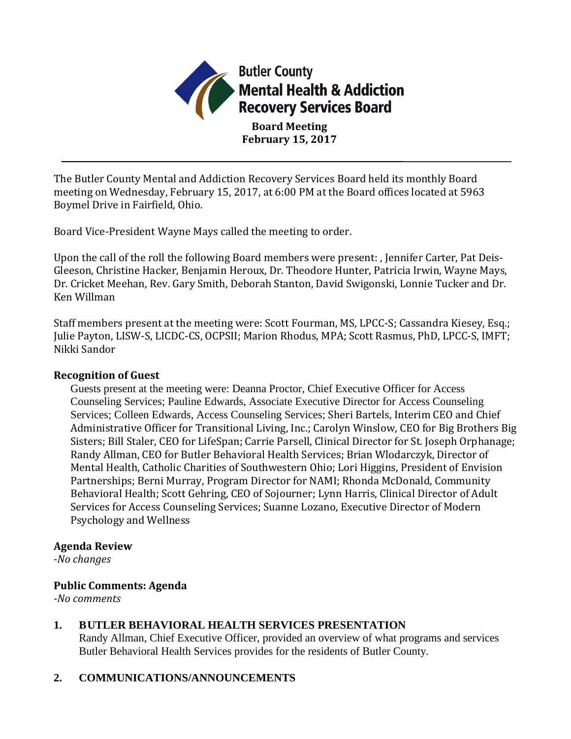

The Butler County Mental and Addiction Recovery Services Board held its monthly Board meeting on Wednesday, February 15, 2017, at 6:00 PM at the Board offices located at 5963 Boymel Drive in Fairfield, Ohio.

Board Vice-President Wayne Mays called the meeting to order.

Upon the call of the roll the following Board members were present: , Jennifer Carter, Pat Deis-Gleeson, Christine Hacker, Benjamin Heroux, Dr. Theodore Hunter, Patricia Irwin, Wayne Mays, Dr. Cricket Meehan, Rev. Gary Smith, Deborah Stanton, David Swigonski, Lonnie Tucker and Dr. Ken Willman

Staff members present at the meeting were: Scott Fourman, MS, LPCC-S; Cassandra Kiesey, Esq.; Julie Payton, LISW-S, LICDC-CS, OCPSII; Marion Rhodus, MPA; Scott Rasmus, PhD, LPCC-S, IMFT; Nikki Sandor

#### **Recognition of Guest**

Guests present at the meeting were: Deanna Proctor, Chief Executive Officer for Access Counseling Services; Pauline Edwards, Associate Executive Director for Access Counseling Services; Colleen Edwards, Access Counseling Services; Sheri Bartels, Interim CEO and Chief Administrative Officer for Transitional Living, Inc.; Carolyn Winslow, CEO for Big Brothers Big Sisters; Bill Staler, CEO for LifeSpan; Carrie Parsell, Clinical Director for St. Joseph Orphanage; Randy Allman, CEO for Butler Behavioral Health Services; Brian Wlodarczyk, Director of Mental Health, Catholic Charities of Southwestern Ohio; Lori Higgins, President of Envision Partnerships; Berni Murray, Program Director for NAMI; Rhonda McDonald, Community Behavioral Health; Scott Gehring, CEO of Sojourner; Lynn Harris, Clinical Director of Adult Services for Access Counseling Services; Suanne Lozano, Executive Director of Modern Psychology and Wellness

#### **Agenda Review**

*-No changes*

#### **Public Comments: Agenda**

*-No comments*

#### **1. BUTLER BEHAVIORAL HEALTH SERVICES PRESENTATION**

Randy Allman, Chief Executive Officer, provided an overview of what programs and services Butler Behavioral Health Services provides for the residents of Butler County.

## **2. COMMUNICATIONS/ANNOUNCEMENTS**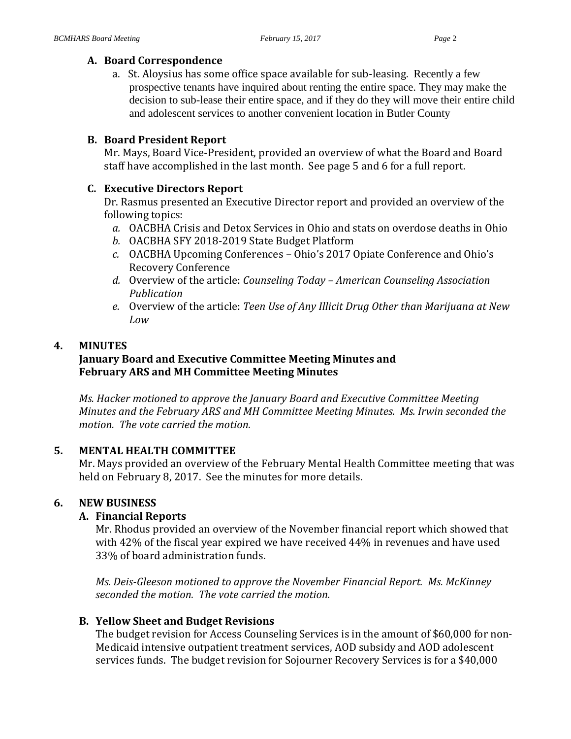#### **A. Board Correspondence**

a. St. Aloysius has some office space available for sub-leasing. Recently a few prospective tenants have inquired about renting the entire space. They may make the decision to sub-lease their entire space, and if they do they will move their entire child and adolescent services to another convenient location in Butler County

#### **B. Board President Report**

Mr. Mays, Board Vice-President, provided an overview of what the Board and Board staff have accomplished in the last month. See page 5 and 6 for a full report.

#### **C. Executive Directors Report**

Dr. Rasmus presented an Executive Director report and provided an overview of the following topics:

- *a.* OACBHA Crisis and Detox Services in Ohio and stats on overdose deaths in Ohio
- *b.* OACBHA SFY 2018-2019 State Budget Platform
- *c.* OACBHA Upcoming Conferences Ohio's 2017 Opiate Conference and Ohio's Recovery Conference
- *d.* Overview of the article: *Counseling Today – American Counseling Association Publication*
- *e.* Overview of the article: *Teen Use of Any Illicit Drug Other than Marijuana at New Low*

## **4. MINUTES**

# **January Board and Executive Committee Meeting Minutes and February ARS and MH Committee Meeting Minutes**

*Ms. Hacker motioned to approve the January Board and Executive Committee Meeting Minutes and the February ARS and MH Committee Meeting Minutes. Ms. Irwin seconded the motion. The vote carried the motion.*

## **5. MENTAL HEALTH COMMITTEE**

Mr. Mays provided an overview of the February Mental Health Committee meeting that was held on February 8, 2017. See the minutes for more details.

## **6. NEW BUSINESS**

## **A. Financial Reports**

Mr. Rhodus provided an overview of the November financial report which showed that with 42% of the fiscal year expired we have received 44% in revenues and have used 33% of board administration funds.

*Ms. Deis-Gleeson motioned to approve the November Financial Report. Ms. McKinney seconded the motion. The vote carried the motion.*

## **B. Yellow Sheet and Budget Revisions**

The budget revision for Access Counseling Services is in the amount of \$60,000 for non-Medicaid intensive outpatient treatment services, AOD subsidy and AOD adolescent services funds. The budget revision for Sojourner Recovery Services is for a \$40,000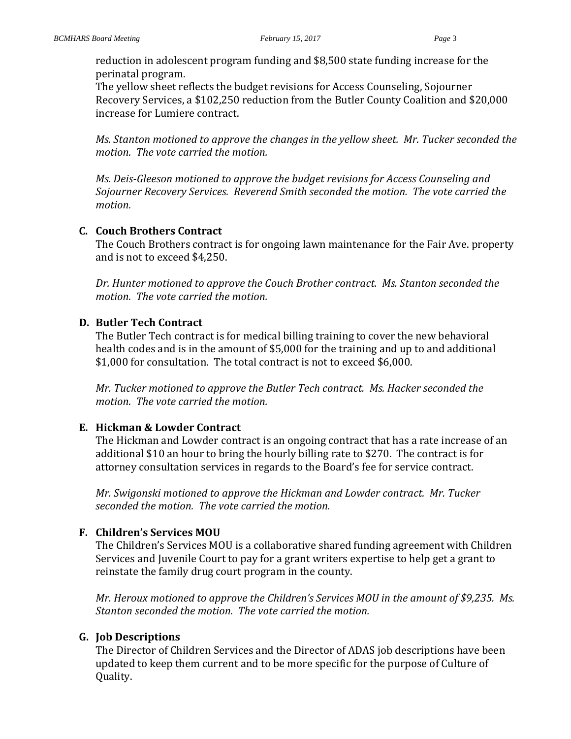reduction in adolescent program funding and \$8,500 state funding increase for the perinatal program.

The yellow sheet reflects the budget revisions for Access Counseling, Sojourner Recovery Services, a \$102,250 reduction from the Butler County Coalition and \$20,000 increase for Lumiere contract.

*Ms. Stanton motioned to approve the changes in the yellow sheet. Mr. Tucker seconded the motion. The vote carried the motion.*

*Ms. Deis-Gleeson motioned to approve the budget revisions for Access Counseling and Sojourner Recovery Services. Reverend Smith seconded the motion. The vote carried the motion.*

## **C. Couch Brothers Contract**

The Couch Brothers contract is for ongoing lawn maintenance for the Fair Ave. property and is not to exceed \$4,250.

*Dr. Hunter motioned to approve the Couch Brother contract. Ms. Stanton seconded the motion. The vote carried the motion.*

## **D. Butler Tech Contract**

The Butler Tech contract is for medical billing training to cover the new behavioral health codes and is in the amount of \$5,000 for the training and up to and additional \$1,000 for consultation. The total contract is not to exceed \$6,000.

*Mr. Tucker motioned to approve the Butler Tech contract. Ms. Hacker seconded the motion. The vote carried the motion.*

## **E. Hickman & Lowder Contract**

The Hickman and Lowder contract is an ongoing contract that has a rate increase of an additional \$10 an hour to bring the hourly billing rate to \$270. The contract is for attorney consultation services in regards to the Board's fee for service contract.

*Mr. Swigonski motioned to approve the Hickman and Lowder contract. Mr. Tucker seconded the motion. The vote carried the motion.*

## **F. Children's Services MOU**

The Children's Services MOU is a collaborative shared funding agreement with Children Services and Juvenile Court to pay for a grant writers expertise to help get a grant to reinstate the family drug court program in the county.

*Mr. Heroux motioned to approve the Children's Services MOU in the amount of \$9,235. Ms. Stanton seconded the motion. The vote carried the motion.*

## **G. Job Descriptions**

The Director of Children Services and the Director of ADAS job descriptions have been updated to keep them current and to be more specific for the purpose of Culture of Quality.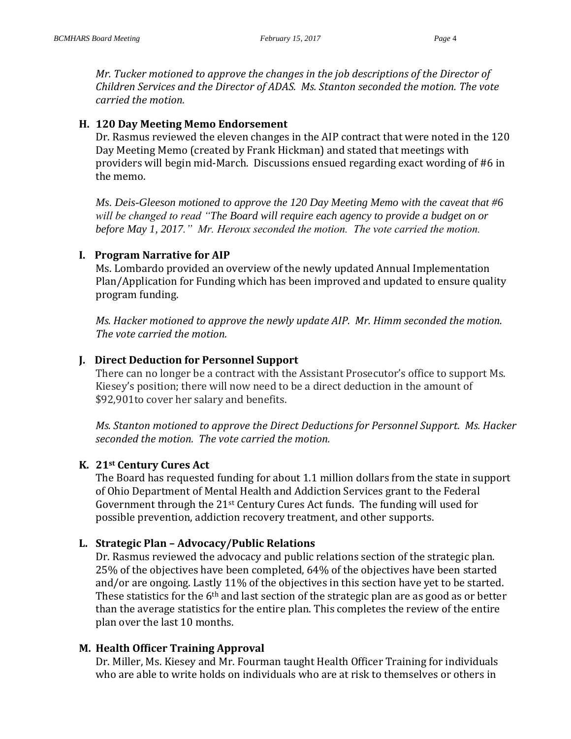*Mr. Tucker motioned to approve the changes in the job descriptions of the Director of Children Services and the Director of ADAS. Ms. Stanton seconded the motion. The vote carried the motion.*

#### **H. 120 Day Meeting Memo Endorsement**

Dr. Rasmus reviewed the eleven changes in the AIP contract that were noted in the 120 Day Meeting Memo (created by Frank Hickman) and stated that meetings with providers will begin mid-March. Discussions ensued regarding exact wording of #6 in the memo.

*Ms. Deis-Gleeson motioned to approve the 120 Day Meeting Memo with the caveat that #6 will be changed to read "The Board will require each agency to provide a budget on or before May 1, 2017." Mr. Heroux seconded the motion. The vote carried the motion.*

## **I. Program Narrative for AIP**

Ms. Lombardo provided an overview of the newly updated Annual Implementation Plan/Application for Funding which has been improved and updated to ensure quality program funding.

*Ms. Hacker motioned to approve the newly update AIP. Mr. Himm seconded the motion. The vote carried the motion.*

## **J. Direct Deduction for Personnel Support**

There can no longer be a contract with the Assistant Prosecutor's office to support Ms. Kiesey's position; there will now need to be a direct deduction in the amount of \$92,901to cover her salary and benefits.

*Ms. Stanton motioned to approve the Direct Deductions for Personnel Support. Ms. Hacker seconded the motion. The vote carried the motion.*

## **K. 21st Century Cures Act**

The Board has requested funding for about 1.1 million dollars from the state in support of Ohio Department of Mental Health and Addiction Services grant to the Federal Government through the 21st Century Cures Act funds. The funding will used for possible prevention, addiction recovery treatment, and other supports.

## **L. Strategic Plan – Advocacy/Public Relations**

Dr. Rasmus reviewed the advocacy and public relations section of the strategic plan. 25% of the objectives have been completed, 64% of the objectives have been started and/or are ongoing. Lastly 11% of the objectives in this section have yet to be started. These statistics for the 6<sup>th</sup> and last section of the strategic plan are as good as or better than the average statistics for the entire plan. This completes the review of the entire plan over the last 10 months.

## **M. Health Officer Training Approval**

Dr. Miller, Ms. Kiesey and Mr. Fourman taught Health Officer Training for individuals who are able to write holds on individuals who are at risk to themselves or others in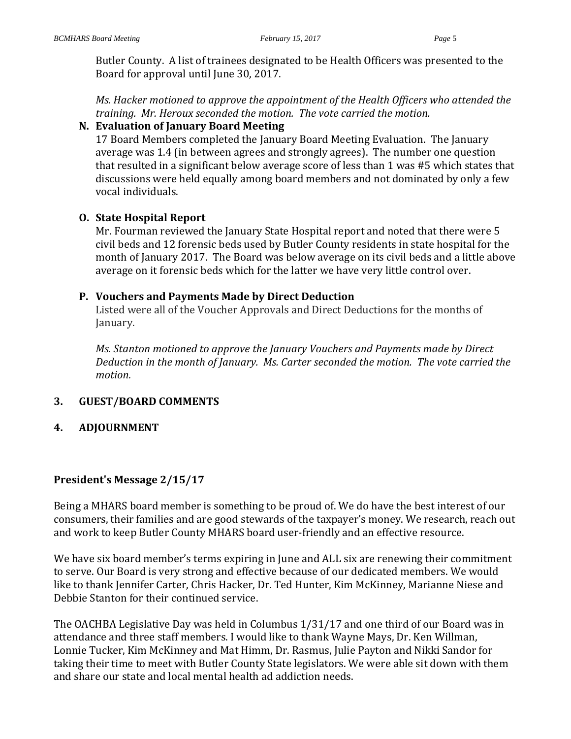Butler County. A list of trainees designated to be Health Officers was presented to the Board for approval until June 30, 2017.

*Ms. Hacker motioned to approve the appointment of the Health Officers who attended the training. Mr. Heroux seconded the motion. The vote carried the motion.*

#### **N. Evaluation of January Board Meeting**

17 Board Members completed the January Board Meeting Evaluation. The January average was 1.4 (in between agrees and strongly agrees). The number one question that resulted in a significant below average score of less than 1 was #5 which states that discussions were held equally among board members and not dominated by only a few vocal individuals.

#### **O. State Hospital Report**

Mr. Fourman reviewed the January State Hospital report and noted that there were 5 civil beds and 12 forensic beds used by Butler County residents in state hospital for the month of January 2017. The Board was below average on its civil beds and a little above average on it forensic beds which for the latter we have very little control over.

#### **P. Vouchers and Payments Made by Direct Deduction**

Listed were all of the Voucher Approvals and Direct Deductions for the months of January.

*Ms. Stanton motioned to approve the January Vouchers and Payments made by Direct Deduction in the month of January. Ms. Carter seconded the motion. The vote carried the motion.*

## **3. GUEST/BOARD COMMENTS**

**4. ADJOURNMENT**

## **President's Message 2/15/17**

Being a MHARS board member is something to be proud of. We do have the best interest of our consumers, their families and are good stewards of the taxpayer's money. We research, reach out and work to keep Butler County MHARS board user-friendly and an effective resource.

We have six board member's terms expiring in June and ALL six are renewing their commitment to serve. Our Board is very strong and effective because of our dedicated members. We would like to thank Jennifer Carter, Chris Hacker, Dr. Ted Hunter, Kim McKinney, Marianne Niese and Debbie Stanton for their continued service.

The OACHBA Legislative Day was held in Columbus 1/31/17 and one third of our Board was in attendance and three staff members. I would like to thank Wayne Mays, Dr. Ken Willman, Lonnie Tucker, Kim McKinney and Mat Himm, Dr. Rasmus, Julie Payton and Nikki Sandor for taking their time to meet with Butler County State legislators. We were able sit down with them and share our state and local mental health ad addiction needs.